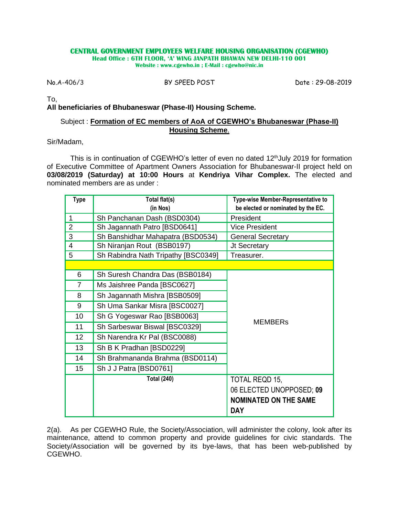## **CENTRAL GOVERNMENT EMPLOYEES WELFARE HOUSING ORGANISATION (CGEWHO)**

**Head Office : 6TH FLOOR, 'A' WING JANPATH BHAWAN NEW DELHI-110 001 Website : www.cgewho.in ; E-Mail : cgewho@nic.in**

No.A-406/3 BY SPEED POST Date : 29-08-2019

To,

**All beneficiaries of Bhubaneswar (Phase-II) Housing Scheme.**

## Subject : **Formation of EC members of AoA of CGEWHO's Bhubaneswar (Phase-II) Housing Scheme**.

Sir/Madam,

This is in continuation of CGEWHO's letter of even no dated 12<sup>th</sup>July 2019 for formation of Executive Committee of Apartment Owners Association for Bhubaneswar-II project held on **03/08/2019 (Saturday) at 10:00 Hours** at **Kendriya Vihar Complex.** The elected and nominated members are as under :

| <b>Type</b>             | Total flat(s)                       | Type-wise Member-Representative to |  |
|-------------------------|-------------------------------------|------------------------------------|--|
|                         | (in Nos)                            | be elected or nominated by the EC. |  |
| $\mathbf 1$             | Sh Panchanan Dash (BSD0304)         | President                          |  |
| $\overline{2}$          | Sh Jagannath Patro [BSD0641]        | <b>Vice President</b>              |  |
| 3                       | Sh Banshidhar Mahapatra (BSD0534)   | <b>General Secretary</b>           |  |
| $\overline{\mathbf{4}}$ | Sh Niranjan Rout (BSB0197)          | Jt Secretary                       |  |
| 5                       | Sh Rabindra Nath Tripathy [BSC0349] | Treasurer.                         |  |
|                         |                                     |                                    |  |
| 6                       | Sh Suresh Chandra Das (BSB0184)     |                                    |  |
| 7                       | Ms Jaishree Panda [BSC0627]         |                                    |  |
| 8                       | Sh Jagannath Mishra [BSB0509]       |                                    |  |
| 9                       | Sh Uma Sankar Misra [BSC0027]       |                                    |  |
| 10                      | Sh G Yogeswar Rao [BSB0063]         |                                    |  |
| 11                      | Sh Sarbeswar Biswal [BSC0329]       | <b>MEMBERS</b>                     |  |
| 12 <sub>2</sub>         | Sh Narendra Kr Pal (BSC0088)        |                                    |  |
| 13                      | Sh B K Pradhan [BSD0229]            |                                    |  |
| 14                      | Sh Brahmananda Brahma (BSD0114)     |                                    |  |
| 15                      | Sh J J Patra [BSD0761]              |                                    |  |
|                         | <b>Total (240)</b>                  | TOTAL REQD 15,                     |  |
|                         |                                     | 06 ELECTED UNOPPOSED; 09           |  |
|                         |                                     | <b>NOMINATED ON THE SAME</b>       |  |
|                         |                                     | <b>DAY</b>                         |  |

2(a). As per CGEWHO Rule, the Society/Association, will administer the colony, look after its maintenance, attend to common property and provide guidelines for civic standards. The Society/Association will be governed by its bye-laws, that has been web-published by CGEWHO.